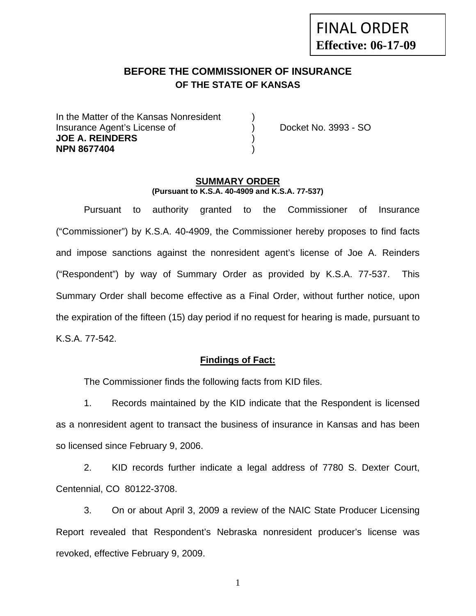# **BEFORE THE COMMISSIONER OF INSURANCE OF THE STATE OF KANSAS**

In the Matter of the Kansas Nonresident Insurance Agent's License of ) Docket No. 3993 - SO **JOE A. REINDERS** ) **NPN 8677404** )

#### **SUMMARY ORDER (Pursuant to K.S.A. 40-4909 and K.S.A. 77-537)**

 Pursuant to authority granted to the Commissioner of Insurance ("Commissioner") by K.S.A. 40-4909, the Commissioner hereby proposes to find facts and impose sanctions against the nonresident agent's license of Joe A. Reinders ("Respondent") by way of Summary Order as provided by K.S.A. 77-537. This Summary Order shall become effective as a Final Order, without further notice, upon the expiration of the fifteen (15) day period if no request for hearing is made, pursuant to K.S.A. 77-542.

#### **Findings of Fact:**

The Commissioner finds the following facts from KID files.

 1. Records maintained by the KID indicate that the Respondent is licensed as a nonresident agent to transact the business of insurance in Kansas and has been so licensed since February 9, 2006.

 2. KID records further indicate a legal address of 7780 S. Dexter Court, Centennial, CO 80122-3708.

 3. On or about April 3, 2009 a review of the NAIC State Producer Licensing Report revealed that Respondent's Nebraska nonresident producer's license was revoked, effective February 9, 2009.

1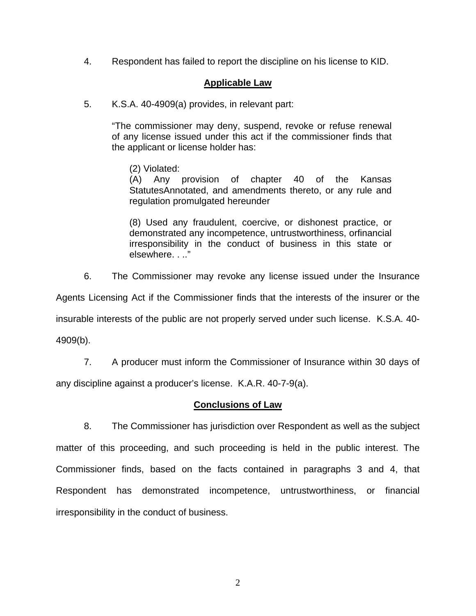4. Respondent has failed to report the discipline on his license to KID.

## **Applicable Law**

5. K.S.A. 40-4909(a) provides, in relevant part:

"The commissioner may deny, suspend, revoke or refuse renewal of any license issued under this act if the commissioner finds that the applicant or license holder has:

(2) Violated:

 (A) Any provision of chapter 40 of the Kansas StatutesAnnotated, and amendments thereto, or any rule and regulation promulgated hereunder

 (8) Used any fraudulent, coercive, or dishonest practice, or demonstrated any incompetence, untrustworthiness, orfinancial irresponsibility in the conduct of business in this state or elsewhere. . .."

6. The Commissioner may revoke any license issued under the Insurance

Agents Licensing Act if the Commissioner finds that the interests of the insurer or the

insurable interests of the public are not properly served under such license. K.S.A. 40-

4909(b).

7. A producer must inform the Commissioner of Insurance within 30 days of

any discipline against a producer's license. K.A.R. 40-7-9(a).

### **Conclusions of Law**

 8. The Commissioner has jurisdiction over Respondent as well as the subject matter of this proceeding, and such proceeding is held in the public interest. The Commissioner finds, based on the facts contained in paragraphs 3 and 4, that Respondent has demonstrated incompetence, untrustworthiness, or financial irresponsibility in the conduct of business.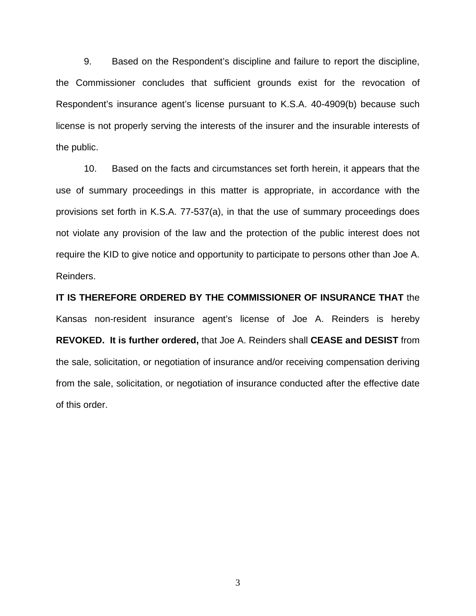9. Based on the Respondent's discipline and failure to report the discipline, the Commissioner concludes that sufficient grounds exist for the revocation of Respondent's insurance agent's license pursuant to K.S.A. 40-4909(b) because such license is not properly serving the interests of the insurer and the insurable interests of the public.

 10. Based on the facts and circumstances set forth herein, it appears that the use of summary proceedings in this matter is appropriate, in accordance with the provisions set forth in K.S.A. 77-537(a), in that the use of summary proceedings does not violate any provision of the law and the protection of the public interest does not require the KID to give notice and opportunity to participate to persons other than Joe A. Reinders.

**IT IS THEREFORE ORDERED BY THE COMMISSIONER OF INSURANCE THAT** the Kansas non-resident insurance agent's license of Joe A. Reinders is hereby **REVOKED. It is further ordered,** that Joe A. Reinders shall **CEASE and DESIST** from the sale, solicitation, or negotiation of insurance and/or receiving compensation deriving from the sale, solicitation, or negotiation of insurance conducted after the effective date of this order.

3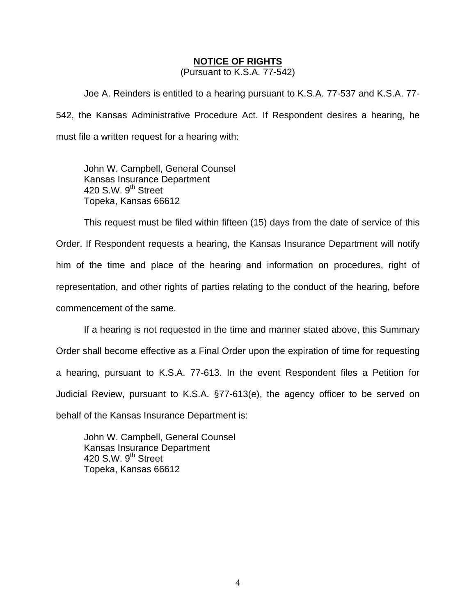### **NOTICE OF RIGHTS**

(Pursuant to K.S.A. 77-542)

Joe A. Reinders is entitled to a hearing pursuant to K.S.A. 77-537 and K.S.A. 77- 542, the Kansas Administrative Procedure Act. If Respondent desires a hearing, he must file a written request for a hearing with:

 John W. Campbell, General Counsel Kansas Insurance Department 420 S.W. 9<sup>th</sup> Street Topeka, Kansas 66612

This request must be filed within fifteen (15) days from the date of service of this Order. If Respondent requests a hearing, the Kansas Insurance Department will notify him of the time and place of the hearing and information on procedures, right of representation, and other rights of parties relating to the conduct of the hearing, before commencement of the same.

If a hearing is not requested in the time and manner stated above, this Summary Order shall become effective as a Final Order upon the expiration of time for requesting a hearing, pursuant to K.S.A. 77-613. In the event Respondent files a Petition for Judicial Review, pursuant to K.S.A. §77-613(e), the agency officer to be served on behalf of the Kansas Insurance Department is:

 John W. Campbell, General Counsel Kansas Insurance Department 420 S.W.  $9<sup>th</sup>$  Street Topeka, Kansas 66612